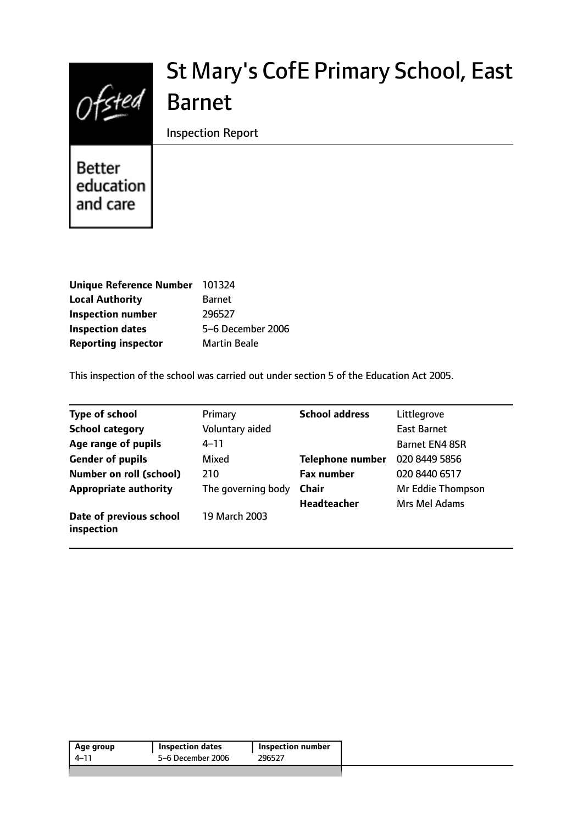

# St Mary's CofE Primary School, East Barnet

Inspection Report

**Better** education and care

| Unique Reference Number 101324 |                     |
|--------------------------------|---------------------|
| <b>Local Authority</b>         | <b>Barnet</b>       |
| <b>Inspection number</b>       | 296527              |
| <b>Inspection dates</b>        | 5-6 December 2006   |
| <b>Reporting inspector</b>     | <b>Martin Beale</b> |

This inspection of the school was carried out under section 5 of the Education Act 2005.

| <b>Type of school</b>                 | Primary            | <b>School address</b>   | Littlegrove           |
|---------------------------------------|--------------------|-------------------------|-----------------------|
| <b>School category</b>                | Voluntary aided    |                         | <b>East Barnet</b>    |
| Age range of pupils                   | $4 - 11$           |                         | <b>Barnet EN4 8SR</b> |
| <b>Gender of pupils</b>               | Mixed              | <b>Telephone number</b> | 020 8449 5856         |
| <b>Number on roll (school)</b>        | 210                | <b>Fax number</b>       | 020 8440 6517         |
| <b>Appropriate authority</b>          | The governing body | <b>Chair</b>            | Mr Eddie Thompson     |
|                                       |                    | Headteacher             | Mrs Mel Adams         |
| Date of previous school<br>inspection | 19 March 2003      |                         |                       |

| Age group | <b>Inspection dates</b> | <b>Inspection number</b> |
|-----------|-------------------------|--------------------------|
| 4–11      | 5-6 December 2006       | 296527                   |
|           |                         |                          |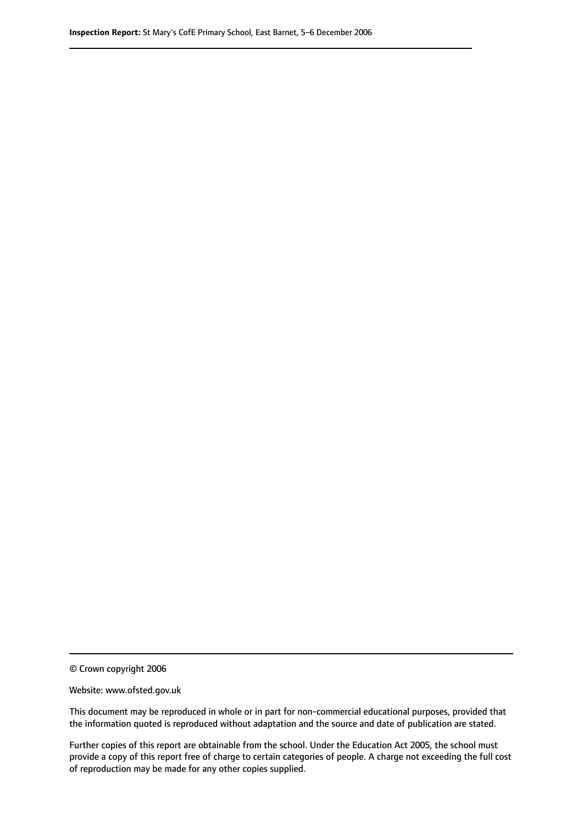© Crown copyright 2006

Website: www.ofsted.gov.uk

This document may be reproduced in whole or in part for non-commercial educational purposes, provided that the information quoted is reproduced without adaptation and the source and date of publication are stated.

Further copies of this report are obtainable from the school. Under the Education Act 2005, the school must provide a copy of this report free of charge to certain categories of people. A charge not exceeding the full cost of reproduction may be made for any other copies supplied.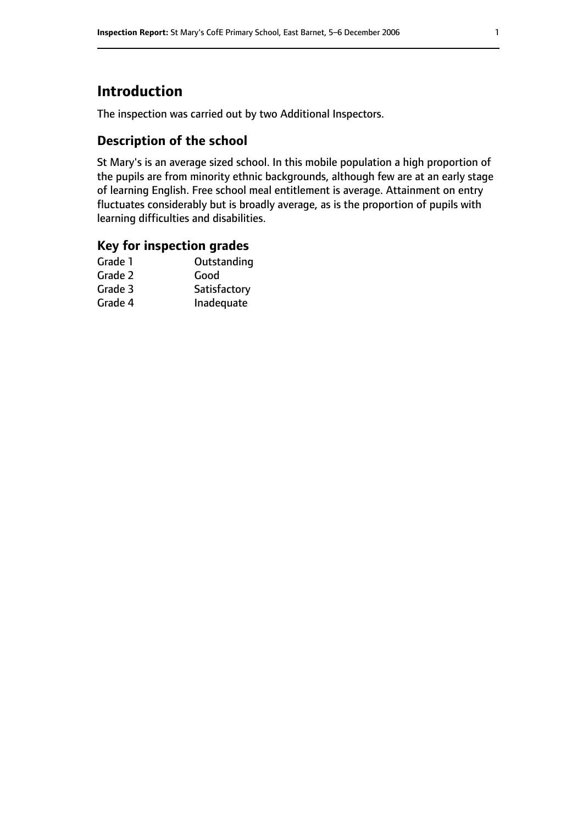# **Introduction**

The inspection was carried out by two Additional Inspectors.

## **Description of the school**

St Mary's is an average sized school. In this mobile population a high proportion of the pupils are from minority ethnic backgrounds, although few are at an early stage of learning English. Free school meal entitlement is average. Attainment on entry fluctuates considerably but is broadly average, as is the proportion of pupils with learning difficulties and disabilities.

#### **Key for inspection grades**

| Outstanding  |
|--------------|
| Good         |
| Satisfactory |
| Inadequate   |
|              |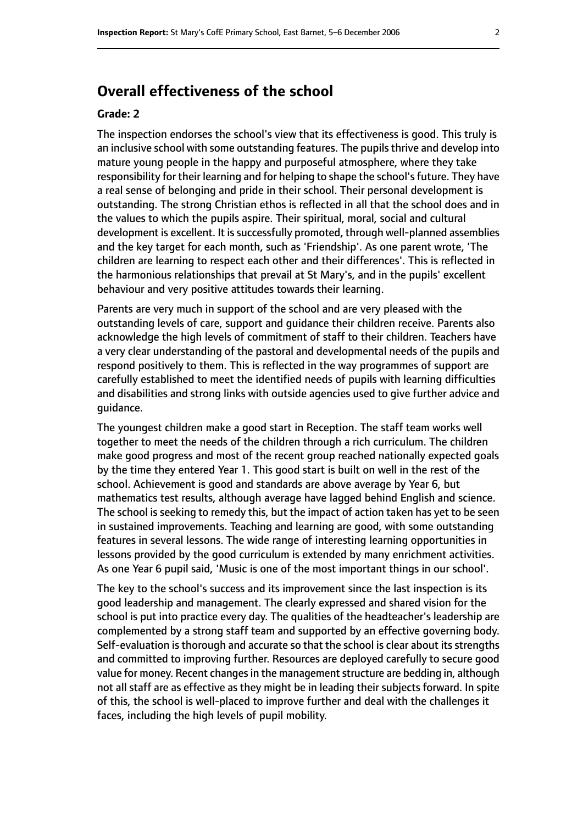# **Overall effectiveness of the school**

#### **Grade: 2**

The inspection endorses the school's view that its effectiveness is good. This truly is an inclusive school with some outstanding features. The pupils thrive and develop into mature young people in the happy and purposeful atmosphere, where they take responsibility for their learning and for helping to shape the school's future. They have a real sense of belonging and pride in their school. Their personal development is outstanding. The strong Christian ethos is reflected in all that the school does and in the values to which the pupils aspire. Their spiritual, moral, social and cultural development is excellent. It is successfully promoted, through well-planned assemblies and the key target for each month, such as 'Friendship'. As one parent wrote, 'The children are learning to respect each other and their differences'. This is reflected in the harmonious relationships that prevail at St Mary's, and in the pupils' excellent behaviour and very positive attitudes towards their learning.

Parents are very much in support of the school and are very pleased with the outstanding levels of care, support and guidance their children receive. Parents also acknowledge the high levels of commitment of staff to their children. Teachers have a very clear understanding of the pastoral and developmental needs of the pupils and respond positively to them. This is reflected in the way programmes of support are carefully established to meet the identified needs of pupils with learning difficulties and disabilities and strong links with outside agencies used to give further advice and guidance.

The youngest children make a good start in Reception. The staff team works well together to meet the needs of the children through a rich curriculum. The children make good progress and most of the recent group reached nationally expected goals by the time they entered Year 1. This good start is built on well in the rest of the school. Achievement is good and standards are above average by Year 6, but mathematics test results, although average have lagged behind English and science. The school is seeking to remedy this, but the impact of action taken has yet to be seen in sustained improvements. Teaching and learning are good, with some outstanding features in several lessons. The wide range of interesting learning opportunities in lessons provided by the good curriculum is extended by many enrichment activities. As one Year 6 pupil said, 'Music is one of the most important things in our school'.

The key to the school's success and its improvement since the last inspection is its good leadership and management. The clearly expressed and shared vision for the school is put into practice every day. The qualities of the headteacher's leadership are complemented by a strong staff team and supported by an effective governing body. Self-evaluation is thorough and accurate so that the school is clear about its strengths and committed to improving further. Resources are deployed carefully to secure good value for money. Recent changes in the management structure are bedding in, although not all staff are as effective as they might be in leading their subjects forward. In spite of this, the school is well-placed to improve further and deal with the challenges it faces, including the high levels of pupil mobility.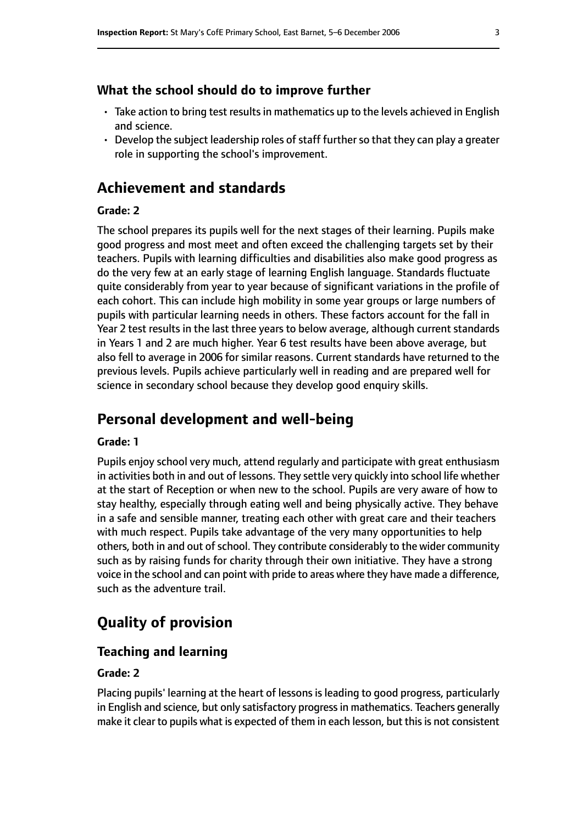#### **What the school should do to improve further**

- $\cdot$  Take action to bring test results in mathematics up to the levels achieved in English and science.
- $\cdot$  Develop the subject leadership roles of staff further so that they can play a greater role in supporting the school's improvement.

# **Achievement and standards**

#### **Grade: 2**

The school prepares its pupils well for the next stages of their learning. Pupils make good progress and most meet and often exceed the challenging targets set by their teachers. Pupils with learning difficulties and disabilities also make good progress as do the very few at an early stage of learning English language. Standards fluctuate quite considerably from year to year because of significant variations in the profile of each cohort. This can include high mobility in some year groups or large numbers of pupils with particular learning needs in others. These factors account for the fall in Year 2 test results in the last three years to below average, although current standards in Years 1 and 2 are much higher. Year 6 test results have been above average, but also fell to average in 2006 for similar reasons. Current standards have returned to the previous levels. Pupils achieve particularly well in reading and are prepared well for science in secondary school because they develop good enquiry skills.

# **Personal development and well-being**

#### **Grade: 1**

Pupils enjoy school very much, attend regularly and participate with great enthusiasm in activities both in and out of lessons. They settle very quickly into school life whether at the start of Reception or when new to the school. Pupils are very aware of how to stay healthy, especially through eating well and being physically active. They behave in a safe and sensible manner, treating each other with great care and their teachers with much respect. Pupils take advantage of the very many opportunities to help others, both in and out of school. They contribute considerably to the wider community such as by raising funds for charity through their own initiative. They have a strong voice in the school and can point with pride to areas where they have made a difference, such as the adventure trail.

# **Quality of provision**

#### **Teaching and learning**

#### **Grade: 2**

Placing pupils' learning at the heart of lessons is leading to good progress, particularly in English and science, but only satisfactory progress in mathematics. Teachers generally make it clear to pupils what is expected of them in each lesson, but this is not consistent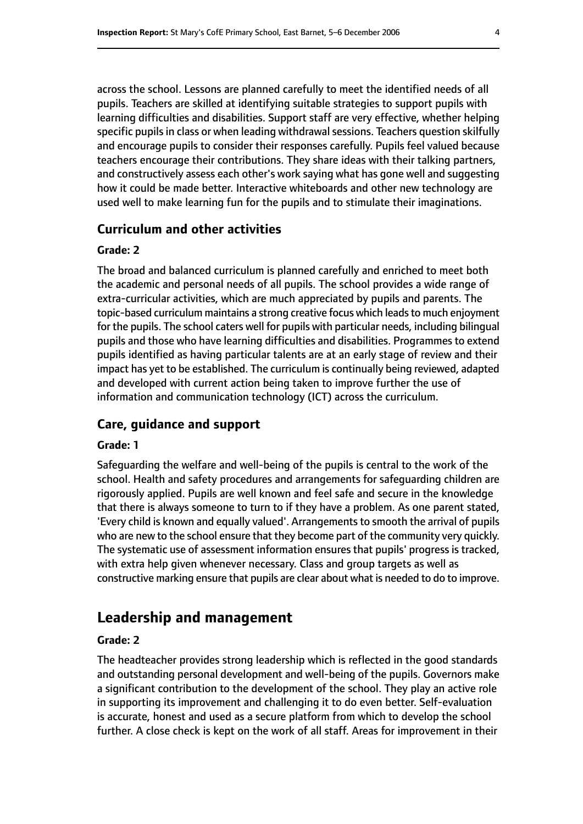across the school. Lessons are planned carefully to meet the identified needs of all pupils. Teachers are skilled at identifying suitable strategies to support pupils with learning difficulties and disabilities. Support staff are very effective, whether helping specific pupils in class or when leading withdrawal sessions. Teachers question skilfully and encourage pupils to consider their responses carefully. Pupils feel valued because teachers encourage their contributions. They share ideas with their talking partners, and constructively assess each other's work saying what has gone well and suggesting how it could be made better. Interactive whiteboards and other new technology are used well to make learning fun for the pupils and to stimulate their imaginations.

#### **Curriculum and other activities**

#### **Grade: 2**

The broad and balanced curriculum is planned carefully and enriched to meet both the academic and personal needs of all pupils. The school provides a wide range of extra-curricular activities, which are much appreciated by pupils and parents. The topic-based curriculum maintains a strong creative focus which leadsto much enjoyment for the pupils. The school caters well for pupils with particular needs, including bilingual pupils and those who have learning difficulties and disabilities. Programmes to extend pupils identified as having particular talents are at an early stage of review and their impact has yet to be established. The curriculum is continually being reviewed, adapted and developed with current action being taken to improve further the use of information and communication technology (ICT) across the curriculum.

### **Care, guidance and support**

#### **Grade: 1**

Safeguarding the welfare and well-being of the pupils is central to the work of the school. Health and safety procedures and arrangements for safeguarding children are rigorously applied. Pupils are well known and feel safe and secure in the knowledge that there is always someone to turn to if they have a problem. As one parent stated, 'Every child is known and equally valued'. Arrangements to smooth the arrival of pupils who are new to the school ensure that they become part of the community very quickly. The systematic use of assessment information ensures that pupils' progress is tracked, with extra help given whenever necessary. Class and group targets as well as constructive marking ensure that pupils are clear about what is needed to do to improve.

# **Leadership and management**

#### **Grade: 2**

The headteacher provides strong leadership which is reflected in the good standards and outstanding personal development and well-being of the pupils. Governors make a significant contribution to the development of the school. They play an active role in supporting its improvement and challenging it to do even better. Self-evaluation is accurate, honest and used as a secure platform from which to develop the school further. A close check is kept on the work of all staff. Areas for improvement in their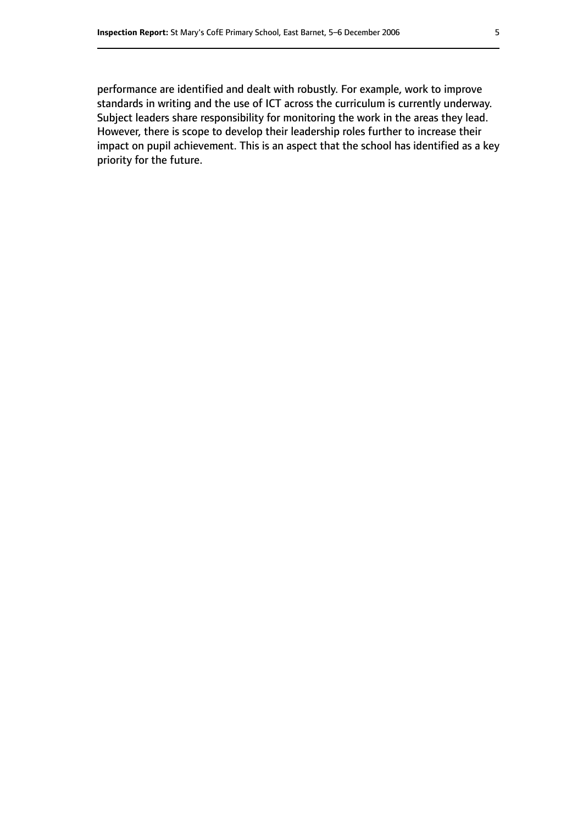performance are identified and dealt with robustly. For example, work to improve standards in writing and the use of ICT across the curriculum is currently underway. Subject leaders share responsibility for monitoring the work in the areas they lead. However, there is scope to develop their leadership roles further to increase their impact on pupil achievement. This is an aspect that the school has identified as a key priority for the future.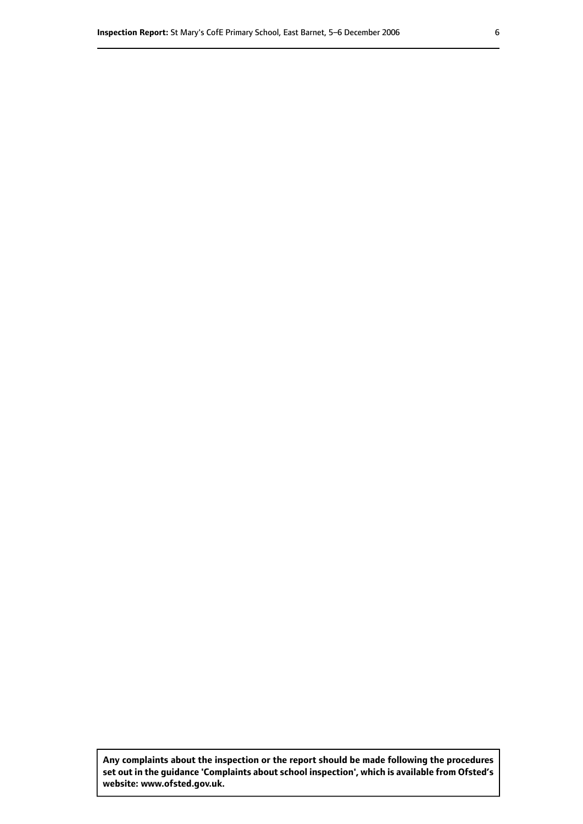**Any complaints about the inspection or the report should be made following the procedures set out inthe guidance 'Complaints about school inspection', whichis available from Ofsted's website: www.ofsted.gov.uk.**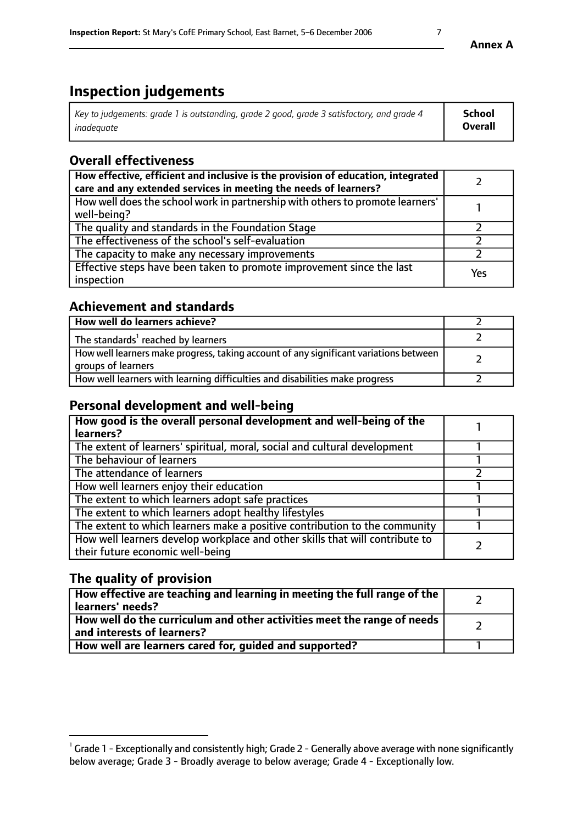# **Inspection judgements**

| Key to judgements: grade 1 is outstanding, grade 2 good, grade 3 satisfactory, and grade 4 | School         |
|--------------------------------------------------------------------------------------------|----------------|
| inadeauate                                                                                 | <b>Overall</b> |

# **Overall effectiveness**

| How effective, efficient and inclusive is the provision of education, integrated<br>care and any extended services in meeting the needs of learners? |     |
|------------------------------------------------------------------------------------------------------------------------------------------------------|-----|
| How well does the school work in partnership with others to promote learners'<br>well-being?                                                         |     |
| The quality and standards in the Foundation Stage                                                                                                    |     |
| The effectiveness of the school's self-evaluation                                                                                                    |     |
| The capacity to make any necessary improvements                                                                                                      |     |
| Effective steps have been taken to promote improvement since the last<br>inspection                                                                  | Yes |

# **Achievement and standards**

| How well do learners achieve?                                                                               |  |
|-------------------------------------------------------------------------------------------------------------|--|
| The standards <sup>1</sup> reached by learners                                                              |  |
| How well learners make progress, taking account of any significant variations between<br>groups of learners |  |
| How well learners with learning difficulties and disabilities make progress                                 |  |

# **Personal development and well-being**

| How good is the overall personal development and well-being of the<br>learners?                                  |  |
|------------------------------------------------------------------------------------------------------------------|--|
| The extent of learners' spiritual, moral, social and cultural development                                        |  |
| The behaviour of learners                                                                                        |  |
| The attendance of learners                                                                                       |  |
| How well learners enjoy their education                                                                          |  |
| The extent to which learners adopt safe practices                                                                |  |
| The extent to which learners adopt healthy lifestyles                                                            |  |
| The extent to which learners make a positive contribution to the community                                       |  |
| How well learners develop workplace and other skills that will contribute to<br>their future economic well-being |  |

# **The quality of provision**

| How effective are teaching and learning in meeting the full range of the<br>learners' needs?          |  |
|-------------------------------------------------------------------------------------------------------|--|
| How well do the curriculum and other activities meet the range of needs<br>and interests of learners? |  |
| How well are learners cared for, guided and supported?                                                |  |

 $^1$  Grade 1 - Exceptionally and consistently high; Grade 2 - Generally above average with none significantly below average; Grade 3 - Broadly average to below average; Grade 4 - Exceptionally low.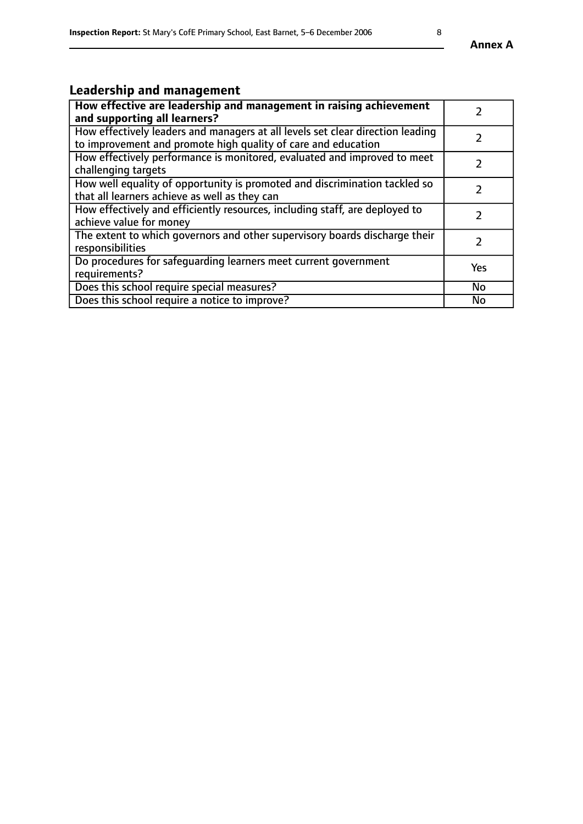# **Leadership and management**

| How effective are leadership and management in raising achievement<br>and supporting all learners?                                              |            |
|-------------------------------------------------------------------------------------------------------------------------------------------------|------------|
| How effectively leaders and managers at all levels set clear direction leading<br>to improvement and promote high quality of care and education |            |
| How effectively performance is monitored, evaluated and improved to meet<br>challenging targets                                                 |            |
| How well equality of opportunity is promoted and discrimination tackled so<br>that all learners achieve as well as they can                     |            |
| How effectively and efficiently resources, including staff, are deployed to<br>achieve value for money                                          |            |
| The extent to which governors and other supervisory boards discharge their<br>responsibilities                                                  |            |
| Do procedures for safequarding learners meet current government<br>requirements?                                                                | <b>Yes</b> |
| Does this school require special measures?                                                                                                      | No         |
| Does this school require a notice to improve?                                                                                                   | <b>No</b>  |